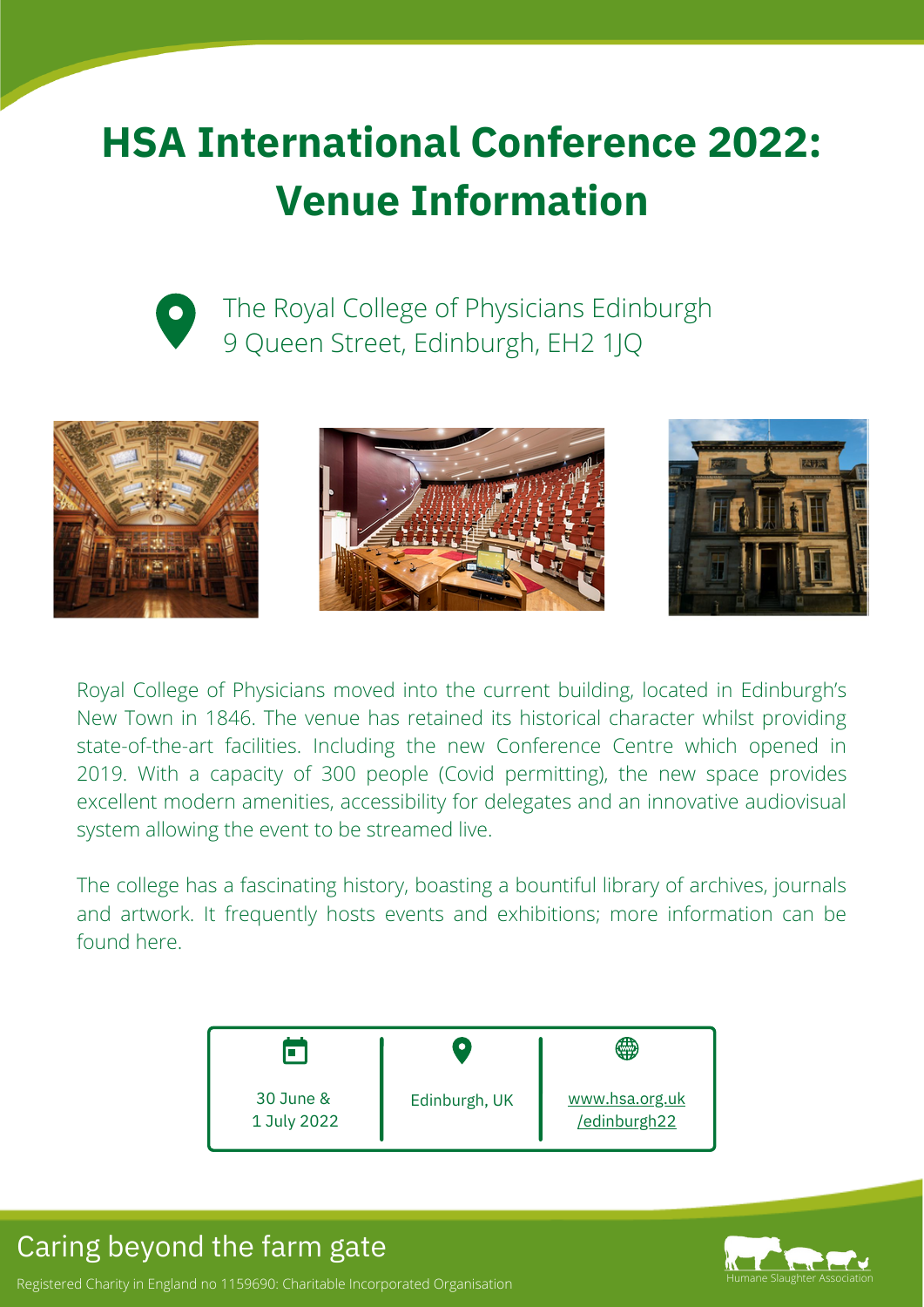# **HSA International Conference 2022: Venue Information**



The Royal College of Physicians Edinburgh 9 Queen Street, Edinburgh, EH2 1JQ







Royal College of Physicians moved into the current building, located in Edinburgh's New Town in 1846. The venue has retained its historical character whilst providing state-of-the-art facilities. Including the new Conference Centre which opened in 2019. With a capacity of 300 people (Covid permitting), the new space provides excellent modern amenities, accessibility for delegates and an innovative audiovisual system allowing the event to be streamed live.

The college has a fascinating history, boasting a bountiful library of archives, journals and artwork. It frequently hosts events and exhibitions; more information can be [found](https://www.rcpe.ac.uk/heritage/heritage-audio-and-video) here.

|                          |               | ∰                              |
|--------------------------|---------------|--------------------------------|
| 30 June &<br>1 July 2022 | Edinburgh, UK | www.hsa.org.uk<br>/edinburgh22 |

# Caring beyond the farm gate



Registered Charity in England no 1159690: Charitable Incorporated Organisation